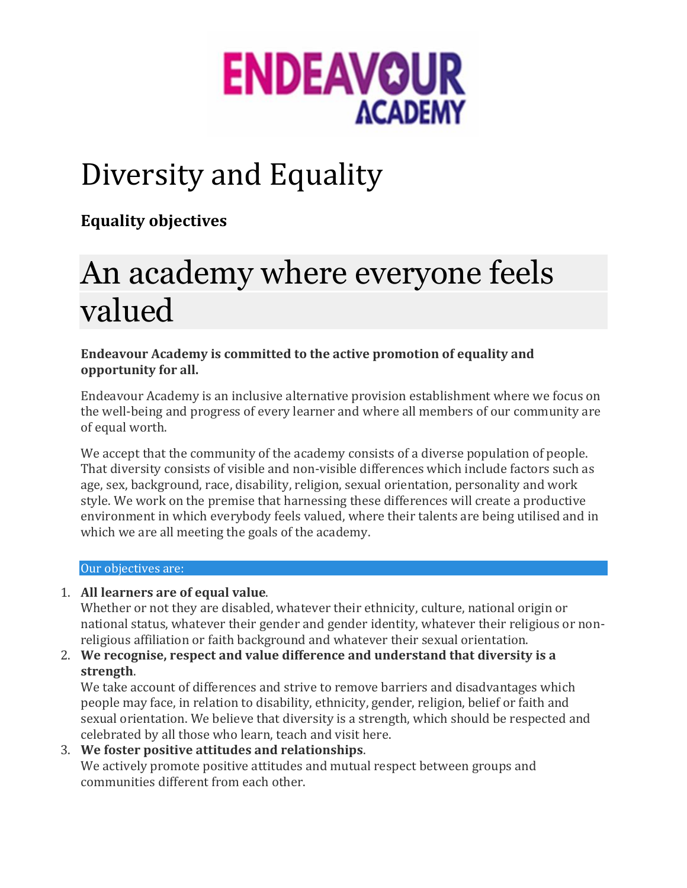

## Diversity and Equality

**Equality objectives**

# An academy where everyone feels valued

**Endeavour Academy is committed to the active promotion of equality and opportunity for all.**

Endeavour Academy is an inclusive alternative provision establishment where we focus on the well-being and progress of every learner and where all members of our community are of equal worth.

We accept that the community of the academy consists of a diverse population of people. That diversity consists of visible and non-visible differences which include factors such as age, sex, background, race, disability, religion, sexual orientation, personality and work style. We work on the premise that harnessing these differences will create a productive environment in which everybody feels valued, where their talents are being utilised and in which we are all meeting the goals of the academy.

#### Our objectives are:

1. **All learners are of equal value**.

Whether or not they are disabled, whatever their ethnicity, culture, national origin or national status, whatever their gender and gender identity, whatever their religious or nonreligious affiliation or faith background and whatever their sexual orientation.

2. **We recognise, respect and value difference and understand that diversity is a strength**.

We take account of differences and strive to remove barriers and disadvantages which people may face, in relation to disability, ethnicity, gender, religion, belief or faith and sexual orientation. We believe that diversity is a strength, which should be respected and celebrated by all those who learn, teach and visit here.

3. **We foster positive attitudes and relationships**. We actively promote positive attitudes and mutual respect between groups and communities different from each other.